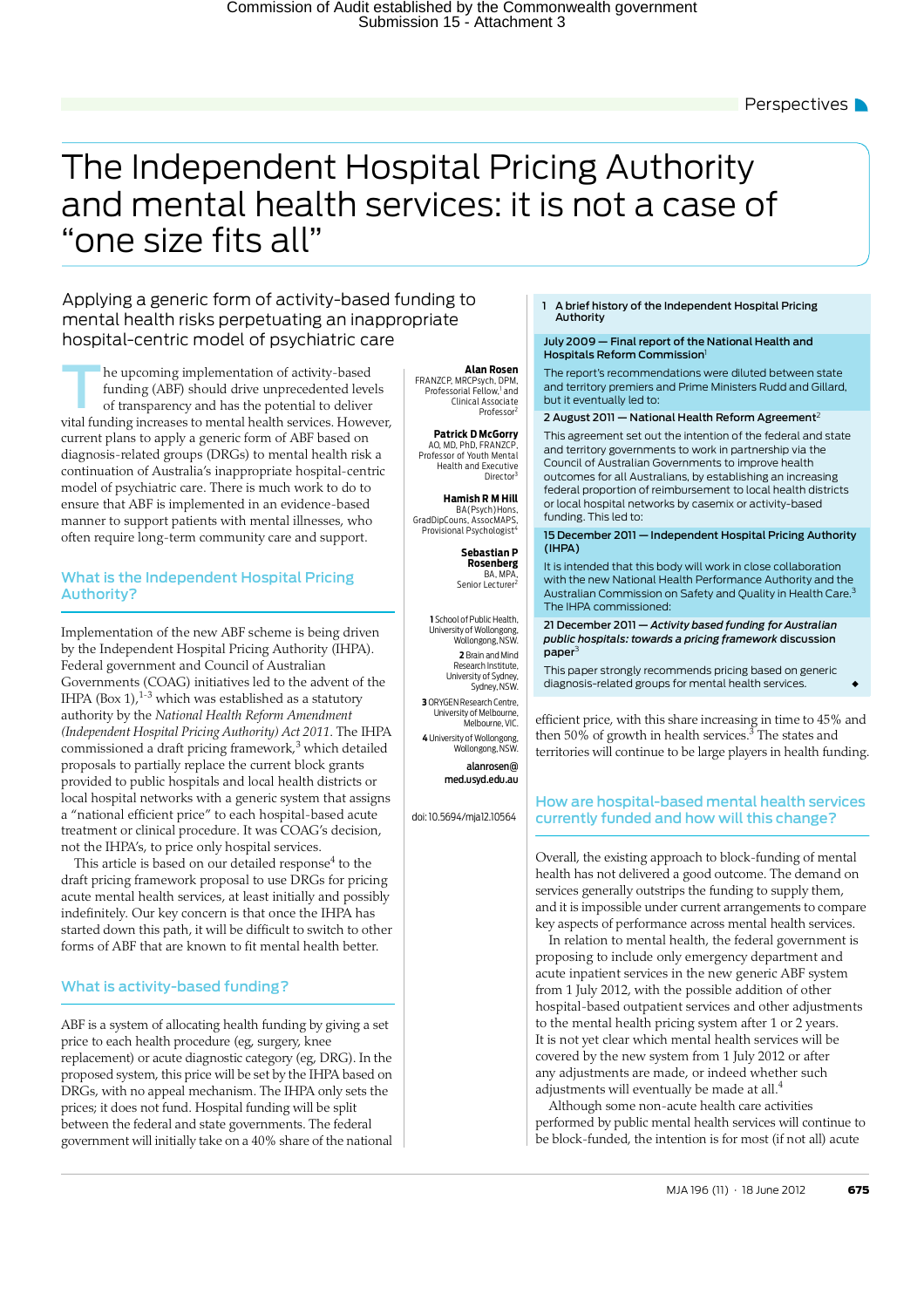# The Independent Hospital Pricing Authority and mental health services: it is not a case of "one size fits all"

Applying a generic form of activity-based funding to mental health risks perpetuating an inappropriate hospital-centric model of psychiatric care

he upcoming implementation of activity-based funding (ABF) should drive unprecedented levels of transparency and has the potential to deliver vital funding increases to mental health services. However, current plans to apply a generic form of ABF based on diagnosis-related groups (DRGs) to mental health risk a continuation of Australia's inappropriate hospital-centric model of psychiatric care. There is much work to do to ensure that ABF is implemented in an evidence-based manner to support patients with mental illnesses, who often require long-term community care and support. The upcoming implementation of activity-based<br>funding (ABF) should drive unprecedented levels<br>of transparency and has the potential to deliver<br>professorial FRANZCP, MRCP<sub>Sych</sub>, DPM,<br>professorial FRANZCP, MRCP<sub>Sych</sub>, DPM,<br>p

## What is the Independent Hospital Pricing Authority?

Implementation of the new ABF scheme is being driven by the Independent Hospital Pricing Authority (IHPA). Federal government and Council of Australian Governments (COAG) initiatives led to the advent of the IHPA (Box 1), $1-3$  which was established as a statutory authority by the *National Health Reform Amendment (Independent Hospital Pricing Authority) Act 2011*. The IHPA commissioned a draft pricing framework,<sup>3</sup> which detailed proposals to partially replace the current block grants provided to public hospitals and local health districts or local hospital networks with a generic system that assigns a "national efficient price" to each hospital-based acute treatment or clinical procedure. It was COAG's decision, not the IHPA's, to price only hospital services.

This article is based on our detailed response<sup>4</sup> to the draft pricing framework proposal to use DRGs for pricing acute mental health services, at least initially and possibly indefinitely. Our key concern is that once the IHPA has started down this path, it will be difficult to switch to other forms of ABF that are known to fit mental health better.

#### is activity-based funding? What is activity-based funding?

ABF is a system of allocating health funding by giving a set price to each health procedure (eg, surgery, knee replacement) or acute diagnostic category (eg, DRG). In the proposed system, this price will be set by the IHPA based on DRGs, with no appeal mechanism. The IHPA only sets the prices; it does not fund. Hospital funding will be split between the federal and state governments. The federal government will initially take on a 40% share of the national

# **Alan Rosen**<br>FRANZCP, MRCPsych, DPM,

Professorial Fellow,<sup>1</sup> and<br>Clinical Associate Professor

**Patrick D McGorry** AO, MD, PhD, FRANZCP, Professor of Youth Mental Health and Executive Director

**Hamish R M Hill** BA(Psych)Hons, GradDipCouns, AssocMAPS, Provisional Psychologist<sup>4</sup>

> **Sebastian P Rosenberg BA**, MPA Senior Lecturer

**1** School of Public Health, University of Wollongong, Wollongong, NSW. **2** Brain and Mind Research Institute, University of Sydney, Sydney, NSW. **3** ORYGEN Research Centre, University of Melbourne, Melbourne, VIC. **4** University of Wollongong, Wollongong, NSW. alanrosen@ med.usyd.edu.au

doi: 10.5694/mja12.10564

#### 1 A brief history of the Independent Hospital Pricing Authority

#### July 2009 — Final report of the National Health and Hospitals Reform Commission<sup>1</sup>

The report's recommendations were diluted between state and territory premiers and Prime Ministers Rudd and Gillard, but it eventually led to:

2 August 2011  $-$  National Health Reform Agreement<sup>2</sup>

This agreement set out the intention of the federal and state and territory governments to work in partnership via the Council of Australian Governments to improve health outcomes for all Australians, by establishing an increasing federal proportion of reimbursement to local health districts or local hospital networks by casemix or activity-based funding. This led to:

#### 15 December 2011 — Independent Hospital Pricing Authority (IHPA)

It is intended that this body will work in close collaboration with the new National Health Performance Authority and the Australian Commission on Safety and Ouality in Health Care.<sup>3</sup> The IHPA commissioned:

21 December 2011 — *Activity based funding for Australian public hospitals: towards a pricing framework* discussion paper3

This paper strongly recommends pricing based on generic diagnosis-related groups for mental health services.

efficient price, with this share increasing in time to 45% and then 50% of growth in health services.<sup>3</sup> The states and territories will continue to be large players in health funding.

## How are hospital-based mental health services currently funded and how will this change?

Overall, the existing approach to block-funding of mental health has not delivered a good outcome. The demand on services generally outstrips the funding to supply them, and it is impossible under current arrangements to compare key aspects of performance across mental health services.

In relation to mental health, the federal government is proposing to include only emergency department and acute inpatient services in the new generic ABF system from 1 July 2012, with the possible addition of other hospital-based outpatient services and other adjustments to the mental health pricing system after 1 or 2 years. It is not yet clear which mental health services will be covered by the new system from 1 July 2012 or after any adjustments are made, or indeed whether such adjustments will eventually be made at all.<sup>4</sup>

Although some non-acute health care activities performed by public mental health services will continue to be block-funded, the intention is for most (if not all) acute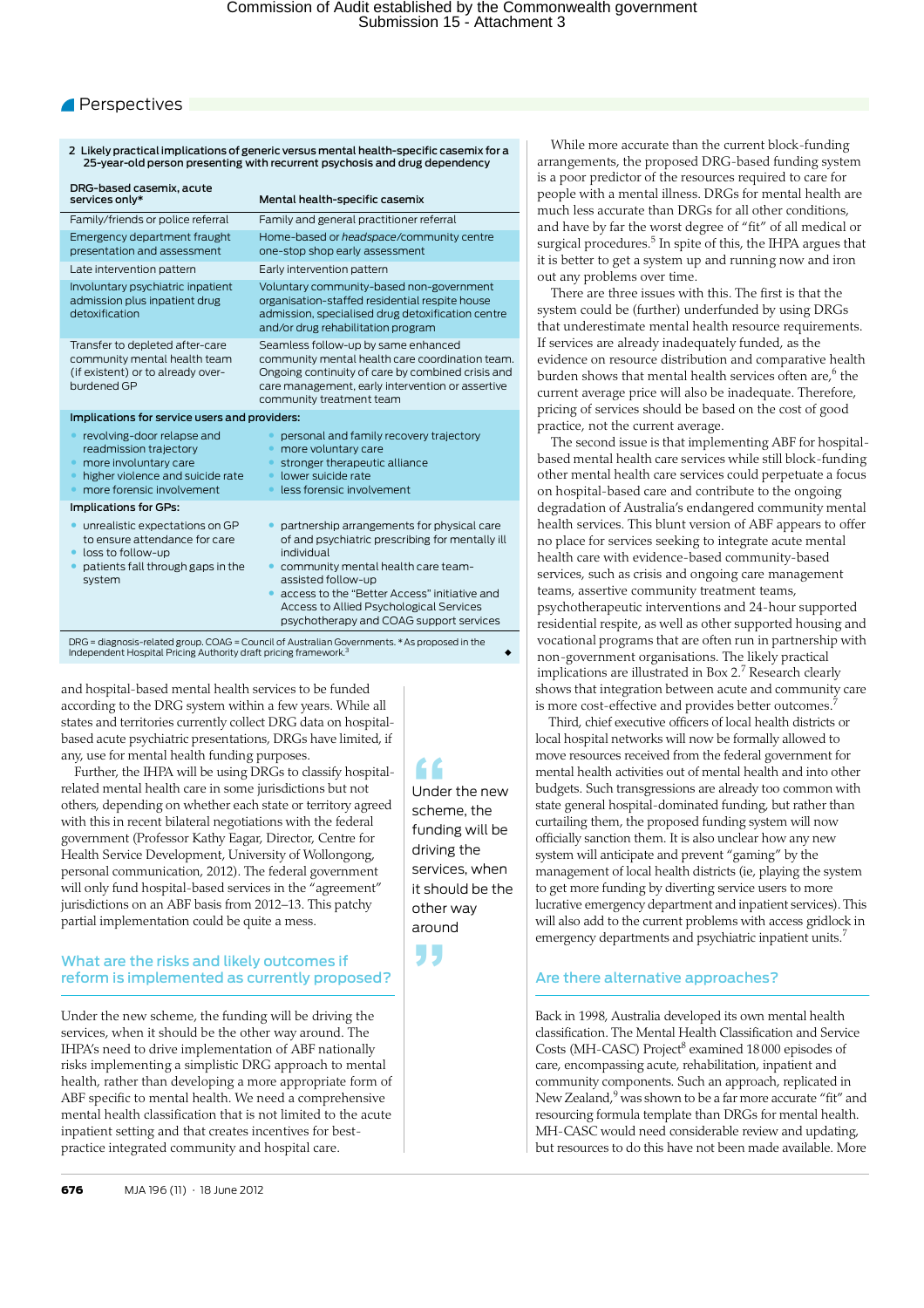# **Perspectives**

# 2 Likely practical implications of generic versus mental health-specific casemix for a 25-year-old person presenting with recurrent psychosis and drug dependency

| DRG-based casemix, acute<br>services only*                                                                                                     | Mental health-specific casemix                                                                                                                                                                                                                                            |  |  |  |
|------------------------------------------------------------------------------------------------------------------------------------------------|---------------------------------------------------------------------------------------------------------------------------------------------------------------------------------------------------------------------------------------------------------------------------|--|--|--|
| Family/friends or police referral                                                                                                              | Family and general practitioner referral                                                                                                                                                                                                                                  |  |  |  |
| Emergency department fraught<br>presentation and assessment                                                                                    | Home-based or headspace/community centre<br>one-stop shop early assessment                                                                                                                                                                                                |  |  |  |
| Late intervention pattern                                                                                                                      | Early intervention pattern                                                                                                                                                                                                                                                |  |  |  |
| Involuntary psychiatric inpatient<br>admission plus inpatient drug<br>detoxification                                                           | Voluntary community-based non-government<br>organisation-staffed residential respite house<br>admission, specialised drug detoxification centre<br>and/or drug rehabilitation program                                                                                     |  |  |  |
| Transfer to depleted after-care<br>community mental health team<br>(if existent) or to already over-<br>burdened GP                            | Seamless follow-up by same enhanced<br>community mental health care coordination team.<br>Ongoing continuity of care by combined crisis and<br>care management, early intervention or assertive<br>community treatment team                                               |  |  |  |
| Implications for service users and providers:                                                                                                  |                                                                                                                                                                                                                                                                           |  |  |  |
| revolving-door relapse and<br>readmission trajectory<br>more involuntary care<br>higher violence and suicide rate<br>more forensic involvement | personal and family recovery trajectory<br>more voluntary care<br>$\bullet$<br>stronger therapeutic alliance<br>lower suicide rate<br>$\bullet$<br>less forensic involvement                                                                                              |  |  |  |
| Implications for GPs:                                                                                                                          |                                                                                                                                                                                                                                                                           |  |  |  |
| unrealistic expectations on GP<br>to ensure attendance for care<br>loss to follow-up<br>patients fall through gaps in the<br>system            | partnership arrangements for physical care<br>of and psychiatric prescribing for mentally ill<br>individual<br>community mental health care team-<br>assisted follow-up<br>access to the "Better Access" initiative and<br><b>Access to Allied Psychological Services</b> |  |  |  |

| revolving-door relapse and<br>readmission trajectory<br>more involuntary care<br>higher violence and suicide rate<br>more forensic involvement |  | personal and family recovery trajectory<br>more voluntary care<br>stronger therapeutic alliance<br>lower suicide rate<br>less forensic involvement                                                                                                                                                            |  |
|------------------------------------------------------------------------------------------------------------------------------------------------|--|---------------------------------------------------------------------------------------------------------------------------------------------------------------------------------------------------------------------------------------------------------------------------------------------------------------|--|
| Implications for GPs:                                                                                                                          |  |                                                                                                                                                                                                                                                                                                               |  |
| <b>Unrealistic expectations on GP</b><br>to ensure attendance for care<br>• loss to follow-up<br>patients fall through gaps in the<br>system   |  | partnership arrangements for physical care<br>of and psychiatric prescribing for mentally ill<br>individual<br>community mental health care team-<br>assisted follow-up<br>access to the "Better Access" initiative and<br>Access to Allied Psychological Services<br>psychotherapy and COAG support services |  |
| $DC - distanceic$ related aroun $COC - C$ uncil of Australian Governments $*$ As proposed in the                                               |  |                                                                                                                                                                                                                                                                                                               |  |

DRG = diagnosis-related group. COAG = Council of Australian Governments. \* As proposed in the <br>Independent Hospital Pricing Authority draft pricing framework.<sup>3</sup>

and hospital-based mental health services to be funded according to the DRG system within a few years. While all states and territories currently collect DRG data on hospitalbased acute psychiatric presentations, DRGs have limited, if any, use for mental health funding purposes.

Further, the IHPA will be using DRGs to classify hospitalrelated mental health care in some jurisdictions but not others, depending on whether each state or territory agreed with this in recent bilateral negotiations with the federal government (Professor Kathy Eagar, Director, Centre for Health Service Development, University of Wollongong, personal communication, 2012). The federal government will only fund hospital-based services in the "agreement" jurisdictions on an ABF basis from 2012–13. This patchy partial implementation could be quite a mess.

## What are the risks and likely outcomes if reform is implemented as currently proposed?

Under the new scheme, the funding will be driving the services, when it should be the other way around. The IHPA's need to drive implementation of ABF nationally risks implementing a simplistic DRG approach to mental health, rather than developing a more appropriate form of ABF specific to mental health. We need a comprehensive mental health classification that is not limited to the acute inpatient setting and that creates incentives for bestpractice integrated community and hospital care.

 $\left| \begin{array}{c} 1 \\ \text{und}_e \\ \text{scher} \end{array} \right|$ Under the new scheme, the funding will be driving the services, when it should be the other way around "

While more accurate than the current block-funding arrangements, the proposed DRG-based funding system is a poor predictor of the resources required to care for people with a mental illness. DRGs for mental health are much less accurate than DRGs for all other conditions, and have by far the worst degree of "fit" of all medical or surgical procedures.<sup>5</sup> In spite of this, the IHPA argues that it is better to get a system up and running now and iron out any problems over time.

There are three issues with this. The first is that the system could be (further) underfunded by using DRGs that underestimate mental health resource requirements. If services are already inadequately funded, as the evidence on resource distribution and comparative health burden shows that mental health services often are,<sup>6</sup> the current average price will also be inadequate. Therefore, pricing of services should be based on the cost of good practice, not the current average.

The second issue is that implementing ABF for hospitalbased mental health care services while still block-funding other mental health care services could perpetuate a focus on hospital-based care and contribute to the ongoing degradation of Australia's endangered community mental health services. This blunt version of ABF appears to offer no place for services seeking to integrate acute mental health care with evidence-based community-based services, such as crisis and ongoing care management teams, assertive community treatment teams, psychotherapeutic interventions and 24-hour supported residential respite, as well as other supported housing and vocational programs that are often run in partnership with non-government organisations. The likely practical implications are illustrated in Box  $2.^7$  Research clearly shows that integration between acute and community care is more cost-effective and provides better outcomes.<sup>7</sup>

Third, chief executive officers of local health districts or local hospital networks will now be formally allowed to move resources received from the federal government for mental health activities out of mental health and into other budgets. Such transgressions are already too common with state general hospital-dominated funding, but rather than curtailing them, the proposed funding system will now officially sanction them. It is also unclear how any new system will anticipate and prevent "gaming" by the management of local health districts (ie, playing the system to get more funding by diverting service users to more lucrative emergency department and inpatient services). This will also add to the current problems with access gridlock in emergency departments and psychiatric inpatient units.<sup>7</sup>

## Are there alternative approaches?

Back in 1998, Australia developed its own mental health classification. The Mental Health Classification and Service Costs (MH-CASC) Project<sup>8</sup> examined 18000 episodes of care, encompassing acute, rehabilitation, inpatient and community components. Such an approach, replicated in New Zealand,<sup>9</sup> was shown to be a far more accurate "fit" and resourcing formula template than DRGs for mental health. MH-CASC would need considerable review and updating, but resources to do this have not been made available. More